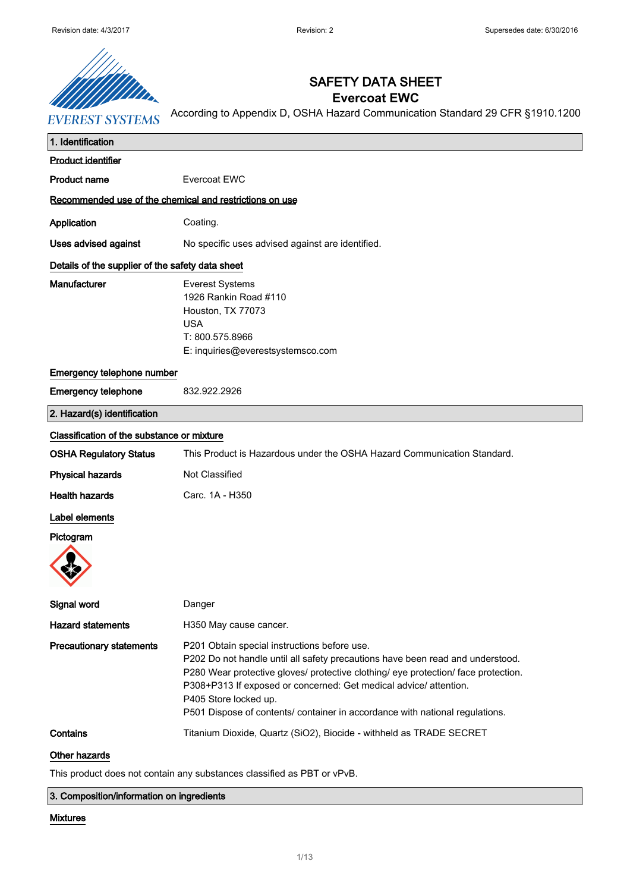

## SAFETY DATA SHEET **Evercoat EWC**

According to Appendix D, OSHA Hazard Communication Standard 29 CFR §1910.1200

| 1. Identification                                       |                                                                                                                                                                                                                                                                                                                                                                                                    |
|---------------------------------------------------------|----------------------------------------------------------------------------------------------------------------------------------------------------------------------------------------------------------------------------------------------------------------------------------------------------------------------------------------------------------------------------------------------------|
| <b>Product identifier</b>                               |                                                                                                                                                                                                                                                                                                                                                                                                    |
| <b>Product name</b>                                     | Evercoat EWC                                                                                                                                                                                                                                                                                                                                                                                       |
| Recommended use of the chemical and restrictions on use |                                                                                                                                                                                                                                                                                                                                                                                                    |
| Application                                             | Coating.                                                                                                                                                                                                                                                                                                                                                                                           |
| Uses advised against                                    | No specific uses advised against are identified.                                                                                                                                                                                                                                                                                                                                                   |
| Details of the supplier of the safety data sheet        |                                                                                                                                                                                                                                                                                                                                                                                                    |
| Manufacturer                                            | <b>Everest Systems</b><br>1926 Rankin Road #110<br>Houston, TX 77073<br><b>USA</b><br>T: 800.575.8966<br>E: inquiries@everestsystemsco.com                                                                                                                                                                                                                                                         |
| Emergency telephone number                              |                                                                                                                                                                                                                                                                                                                                                                                                    |
| <b>Emergency telephone</b>                              | 832.922.2926                                                                                                                                                                                                                                                                                                                                                                                       |
| 2. Hazard(s) identification                             |                                                                                                                                                                                                                                                                                                                                                                                                    |
| Classification of the substance or mixture              |                                                                                                                                                                                                                                                                                                                                                                                                    |
| <b>OSHA Regulatory Status</b>                           | This Product is Hazardous under the OSHA Hazard Communication Standard.                                                                                                                                                                                                                                                                                                                            |
| <b>Physical hazards</b>                                 | Not Classified                                                                                                                                                                                                                                                                                                                                                                                     |
| <b>Health hazards</b>                                   | Carc. 1A - H350                                                                                                                                                                                                                                                                                                                                                                                    |
| Label elements                                          |                                                                                                                                                                                                                                                                                                                                                                                                    |
| Pictogram                                               |                                                                                                                                                                                                                                                                                                                                                                                                    |
| Signal word                                             | Danger                                                                                                                                                                                                                                                                                                                                                                                             |
| <b>Hazard statements</b>                                | H350 May cause cancer.                                                                                                                                                                                                                                                                                                                                                                             |
| <b>Precautionary statements</b>                         | P201 Obtain special instructions before use.<br>P202 Do not handle until all safety precautions have been read and understood.<br>P280 Wear protective gloves/ protective clothing/ eye protection/ face protection.<br>P308+P313 If exposed or concerned: Get medical advice/ attention.<br>P405 Store locked up.<br>P501 Dispose of contents/ container in accordance with national regulations. |
| Contains                                                | Titanium Dioxide, Quartz (SiO2), Biocide - withheld as TRADE SECRET                                                                                                                                                                                                                                                                                                                                |

Other hazards

This product does not contain any substances classified as PBT or vPvB.

3. Composition/information on ingredients

#### Mixtures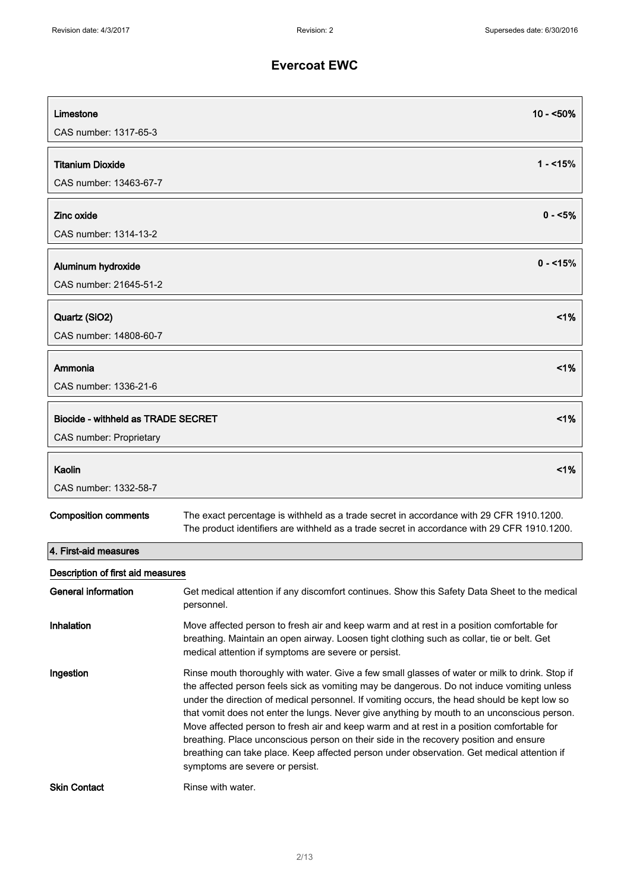| Limestone<br>CAS number: 1317-65-3                            | 10 - <50%                                                                                                                                                                                                                                                                                                                                                                                                                                                                                                                                                                                                                                                                                                                               |
|---------------------------------------------------------------|-----------------------------------------------------------------------------------------------------------------------------------------------------------------------------------------------------------------------------------------------------------------------------------------------------------------------------------------------------------------------------------------------------------------------------------------------------------------------------------------------------------------------------------------------------------------------------------------------------------------------------------------------------------------------------------------------------------------------------------------|
| <b>Titanium Dioxide</b><br>CAS number: 13463-67-7             | $1 - 15%$                                                                                                                                                                                                                                                                                                                                                                                                                                                                                                                                                                                                                                                                                                                               |
| Zinc oxide<br>CAS number: 1314-13-2                           | $0 - 5\%$                                                                                                                                                                                                                                                                                                                                                                                                                                                                                                                                                                                                                                                                                                                               |
| Aluminum hydroxide<br>CAS number: 21645-51-2                  | $0 - 15%$                                                                                                                                                                                                                                                                                                                                                                                                                                                                                                                                                                                                                                                                                                                               |
| Quartz (SiO2)<br>CAS number: 14808-60-7                       | $1\%$                                                                                                                                                                                                                                                                                                                                                                                                                                                                                                                                                                                                                                                                                                                                   |
| Ammonia<br>CAS number: 1336-21-6                              | $< 1\%$                                                                                                                                                                                                                                                                                                                                                                                                                                                                                                                                                                                                                                                                                                                                 |
| Biocide - withheld as TRADE SECRET<br>CAS number: Proprietary | $< 1\%$                                                                                                                                                                                                                                                                                                                                                                                                                                                                                                                                                                                                                                                                                                                                 |
| Kaolin<br>CAS number: 1332-58-7                               | 1%                                                                                                                                                                                                                                                                                                                                                                                                                                                                                                                                                                                                                                                                                                                                      |
| <b>Composition comments</b>                                   | The exact percentage is withheld as a trade secret in accordance with 29 CFR 1910.1200.<br>The product identifiers are withheld as a trade secret in accordance with 29 CFR 1910.1200.                                                                                                                                                                                                                                                                                                                                                                                                                                                                                                                                                  |
| 4. First-aid measures                                         |                                                                                                                                                                                                                                                                                                                                                                                                                                                                                                                                                                                                                                                                                                                                         |
| Description of first aid measures                             |                                                                                                                                                                                                                                                                                                                                                                                                                                                                                                                                                                                                                                                                                                                                         |
| <b>General information</b>                                    | Get medical attention if any discomfort continues. Show this Safety Data Sheet to the medical<br>personnel.                                                                                                                                                                                                                                                                                                                                                                                                                                                                                                                                                                                                                             |
| Inhalation                                                    | Move affected person to fresh air and keep warm and at rest in a position comfortable for<br>breathing. Maintain an open airway. Loosen tight clothing such as collar, tie or belt. Get<br>medical attention if symptoms are severe or persist.                                                                                                                                                                                                                                                                                                                                                                                                                                                                                         |
| Ingestion<br><b>Skin Contact</b>                              | Rinse mouth thoroughly with water. Give a few small glasses of water or milk to drink. Stop if<br>the affected person feels sick as vomiting may be dangerous. Do not induce vomiting unless<br>under the direction of medical personnel. If vomiting occurs, the head should be kept low so<br>that vomit does not enter the lungs. Never give anything by mouth to an unconscious person.<br>Move affected person to fresh air and keep warm and at rest in a position comfortable for<br>breathing. Place unconscious person on their side in the recovery position and ensure<br>breathing can take place. Keep affected person under observation. Get medical attention if<br>symptoms are severe or persist.<br>Rinse with water. |
|                                                               |                                                                                                                                                                                                                                                                                                                                                                                                                                                                                                                                                                                                                                                                                                                                         |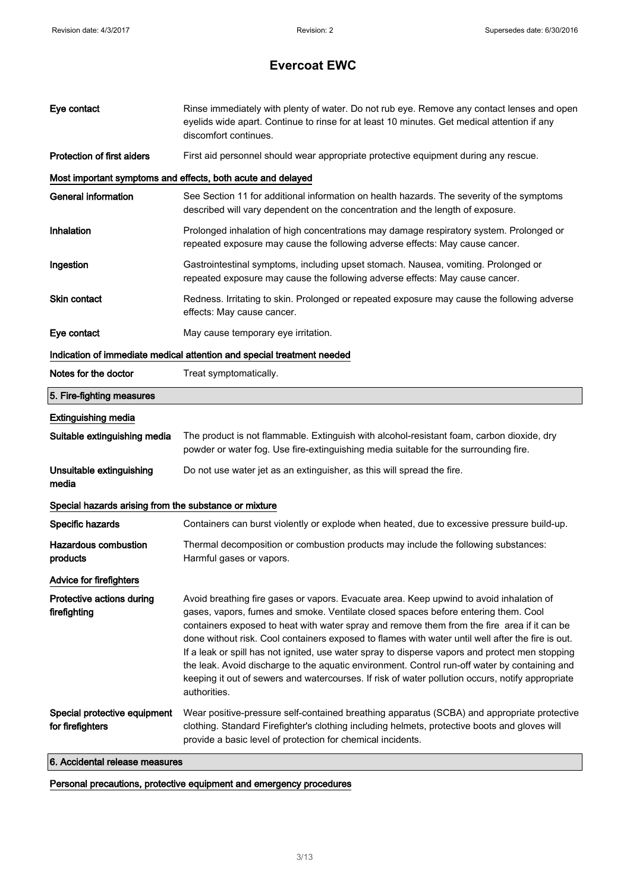| Eye contact                                           | Rinse immediately with plenty of water. Do not rub eye. Remove any contact lenses and open<br>eyelids wide apart. Continue to rinse for at least 10 minutes. Get medical attention if any<br>discomfort continues.                                                                                                                                                                                                                                                                                                                                                                                                                                                                                        |  |
|-------------------------------------------------------|-----------------------------------------------------------------------------------------------------------------------------------------------------------------------------------------------------------------------------------------------------------------------------------------------------------------------------------------------------------------------------------------------------------------------------------------------------------------------------------------------------------------------------------------------------------------------------------------------------------------------------------------------------------------------------------------------------------|--|
| <b>Protection of first aiders</b>                     | First aid personnel should wear appropriate protective equipment during any rescue.                                                                                                                                                                                                                                                                                                                                                                                                                                                                                                                                                                                                                       |  |
|                                                       | Most important symptoms and effects, both acute and delayed                                                                                                                                                                                                                                                                                                                                                                                                                                                                                                                                                                                                                                               |  |
| <b>General information</b>                            | See Section 11 for additional information on health hazards. The severity of the symptoms<br>described will vary dependent on the concentration and the length of exposure.                                                                                                                                                                                                                                                                                                                                                                                                                                                                                                                               |  |
| Inhalation                                            | Prolonged inhalation of high concentrations may damage respiratory system. Prolonged or<br>repeated exposure may cause the following adverse effects: May cause cancer.                                                                                                                                                                                                                                                                                                                                                                                                                                                                                                                                   |  |
| Ingestion                                             | Gastrointestinal symptoms, including upset stomach. Nausea, vomiting. Prolonged or<br>repeated exposure may cause the following adverse effects: May cause cancer.                                                                                                                                                                                                                                                                                                                                                                                                                                                                                                                                        |  |
| Skin contact                                          | Redness. Irritating to skin. Prolonged or repeated exposure may cause the following adverse<br>effects: May cause cancer.                                                                                                                                                                                                                                                                                                                                                                                                                                                                                                                                                                                 |  |
| Eye contact                                           | May cause temporary eye irritation.                                                                                                                                                                                                                                                                                                                                                                                                                                                                                                                                                                                                                                                                       |  |
|                                                       | Indication of immediate medical attention and special treatment needed                                                                                                                                                                                                                                                                                                                                                                                                                                                                                                                                                                                                                                    |  |
| Notes for the doctor                                  | Treat symptomatically.                                                                                                                                                                                                                                                                                                                                                                                                                                                                                                                                                                                                                                                                                    |  |
| 5. Fire-fighting measures                             |                                                                                                                                                                                                                                                                                                                                                                                                                                                                                                                                                                                                                                                                                                           |  |
| <b>Extinguishing media</b>                            |                                                                                                                                                                                                                                                                                                                                                                                                                                                                                                                                                                                                                                                                                                           |  |
| Suitable extinguishing media                          | The product is not flammable. Extinguish with alcohol-resistant foam, carbon dioxide, dry<br>powder or water fog. Use fire-extinguishing media suitable for the surrounding fire.                                                                                                                                                                                                                                                                                                                                                                                                                                                                                                                         |  |
| Unsuitable extinguishing<br>media                     | Do not use water jet as an extinguisher, as this will spread the fire.                                                                                                                                                                                                                                                                                                                                                                                                                                                                                                                                                                                                                                    |  |
| Special hazards arising from the substance or mixture |                                                                                                                                                                                                                                                                                                                                                                                                                                                                                                                                                                                                                                                                                                           |  |
| Specific hazards                                      | Containers can burst violently or explode when heated, due to excessive pressure build-up.                                                                                                                                                                                                                                                                                                                                                                                                                                                                                                                                                                                                                |  |
| <b>Hazardous combustion</b><br>products               | Thermal decomposition or combustion products may include the following substances:<br>Harmful gases or vapors.                                                                                                                                                                                                                                                                                                                                                                                                                                                                                                                                                                                            |  |
| <b>Advice for firefighters</b>                        |                                                                                                                                                                                                                                                                                                                                                                                                                                                                                                                                                                                                                                                                                                           |  |
| Protective actions during<br>firefighting             | Avoid breathing fire gases or vapors. Evacuate area. Keep upwind to avoid inhalation of<br>gases, vapors, fumes and smoke. Ventilate closed spaces before entering them. Cool<br>containers exposed to heat with water spray and remove them from the fire area if it can be<br>done without risk. Cool containers exposed to flames with water until well after the fire is out.<br>If a leak or spill has not ignited, use water spray to disperse vapors and protect men stopping<br>the leak. Avoid discharge to the aquatic environment. Control run-off water by containing and<br>keeping it out of sewers and watercourses. If risk of water pollution occurs, notify appropriate<br>authorities. |  |
| Special protective equipment<br>for firefighters      | Wear positive-pressure self-contained breathing apparatus (SCBA) and appropriate protective<br>clothing. Standard Firefighter's clothing including helmets, protective boots and gloves will<br>provide a basic level of protection for chemical incidents.                                                                                                                                                                                                                                                                                                                                                                                                                                               |  |
| 6. Accidental release measures                        |                                                                                                                                                                                                                                                                                                                                                                                                                                                                                                                                                                                                                                                                                                           |  |

Personal precautions, protective equipment and emergency procedures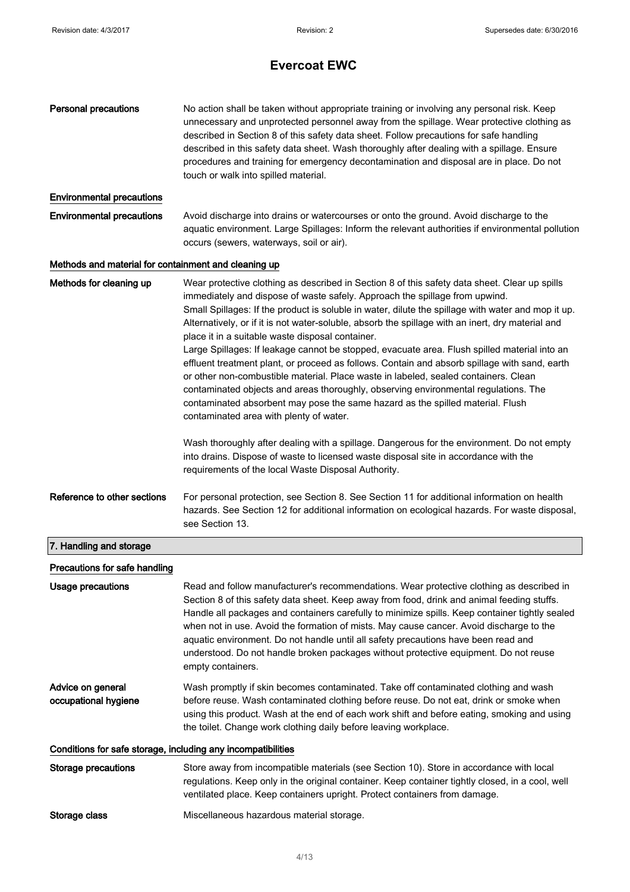| <b>Personal precautions</b>                                  | No action shall be taken without appropriate training or involving any personal risk. Keep<br>unnecessary and unprotected personnel away from the spillage. Wear protective clothing as<br>described in Section 8 of this safety data sheet. Follow precautions for safe handling<br>described in this safety data sheet. Wash thoroughly after dealing with a spillage. Ensure<br>procedures and training for emergency decontamination and disposal are in place. Do not<br>touch or walk into spilled material.                                                                                                                                                                                                                                                                                                                                                                                                                                                                                                                                                                                                                                                                                   |
|--------------------------------------------------------------|------------------------------------------------------------------------------------------------------------------------------------------------------------------------------------------------------------------------------------------------------------------------------------------------------------------------------------------------------------------------------------------------------------------------------------------------------------------------------------------------------------------------------------------------------------------------------------------------------------------------------------------------------------------------------------------------------------------------------------------------------------------------------------------------------------------------------------------------------------------------------------------------------------------------------------------------------------------------------------------------------------------------------------------------------------------------------------------------------------------------------------------------------------------------------------------------------|
| <b>Environmental precautions</b>                             |                                                                                                                                                                                                                                                                                                                                                                                                                                                                                                                                                                                                                                                                                                                                                                                                                                                                                                                                                                                                                                                                                                                                                                                                      |
| <b>Environmental precautions</b>                             | Avoid discharge into drains or watercourses or onto the ground. Avoid discharge to the<br>aquatic environment. Large Spillages: Inform the relevant authorities if environmental pollution<br>occurs (sewers, waterways, soil or air).                                                                                                                                                                                                                                                                                                                                                                                                                                                                                                                                                                                                                                                                                                                                                                                                                                                                                                                                                               |
| Methods and material for containment and cleaning up         |                                                                                                                                                                                                                                                                                                                                                                                                                                                                                                                                                                                                                                                                                                                                                                                                                                                                                                                                                                                                                                                                                                                                                                                                      |
| Methods for cleaning up                                      | Wear protective clothing as described in Section 8 of this safety data sheet. Clear up spills<br>immediately and dispose of waste safely. Approach the spillage from upwind.<br>Small Spillages: If the product is soluble in water, dilute the spillage with water and mop it up.<br>Alternatively, or if it is not water-soluble, absorb the spillage with an inert, dry material and<br>place it in a suitable waste disposal container.<br>Large Spillages: If leakage cannot be stopped, evacuate area. Flush spilled material into an<br>effluent treatment plant, or proceed as follows. Contain and absorb spillage with sand, earth<br>or other non-combustible material. Place waste in labeled, sealed containers. Clean<br>contaminated objects and areas thoroughly, observing environmental regulations. The<br>contaminated absorbent may pose the same hazard as the spilled material. Flush<br>contaminated area with plenty of water.<br>Wash thoroughly after dealing with a spillage. Dangerous for the environment. Do not empty<br>into drains. Dispose of waste to licensed waste disposal site in accordance with the<br>requirements of the local Waste Disposal Authority. |
| Reference to other sections                                  | For personal protection, see Section 8. See Section 11 for additional information on health<br>hazards. See Section 12 for additional information on ecological hazards. For waste disposal,<br>see Section 13.                                                                                                                                                                                                                                                                                                                                                                                                                                                                                                                                                                                                                                                                                                                                                                                                                                                                                                                                                                                      |
| 7. Handling and storage                                      |                                                                                                                                                                                                                                                                                                                                                                                                                                                                                                                                                                                                                                                                                                                                                                                                                                                                                                                                                                                                                                                                                                                                                                                                      |
| Precautions for safe handling                                |                                                                                                                                                                                                                                                                                                                                                                                                                                                                                                                                                                                                                                                                                                                                                                                                                                                                                                                                                                                                                                                                                                                                                                                                      |
| Usage precautions                                            | Read and follow manufacturer's recommendations. Wear protective clothing as described in<br>Section 8 of this safety data sheet. Keep away from food, drink and animal feeding stuffs.<br>Handle all packages and containers carefully to minimize spills. Keep container tightly sealed<br>when not in use. Avoid the formation of mists. May cause cancer. Avoid discharge to the<br>aquatic environment. Do not handle until all safety precautions have been read and<br>understood. Do not handle broken packages without protective equipment. Do not reuse<br>empty containers.                                                                                                                                                                                                                                                                                                                                                                                                                                                                                                                                                                                                               |
| Advice on general<br>occupational hygiene                    | Wash promptly if skin becomes contaminated. Take off contaminated clothing and wash<br>before reuse. Wash contaminated clothing before reuse. Do not eat, drink or smoke when<br>using this product. Wash at the end of each work shift and before eating, smoking and using<br>the toilet. Change work clothing daily before leaving workplace.                                                                                                                                                                                                                                                                                                                                                                                                                                                                                                                                                                                                                                                                                                                                                                                                                                                     |
| Conditions for safe storage, including any incompatibilities |                                                                                                                                                                                                                                                                                                                                                                                                                                                                                                                                                                                                                                                                                                                                                                                                                                                                                                                                                                                                                                                                                                                                                                                                      |
| Storage precautions                                          | Store away from incompatible materials (see Section 10). Store in accordance with local<br>regulations. Keep only in the original container. Keep container tightly closed, in a cool, well<br>ventilated place. Keep containers upright. Protect containers from damage.                                                                                                                                                                                                                                                                                                                                                                                                                                                                                                                                                                                                                                                                                                                                                                                                                                                                                                                            |
| Storage class                                                | Miscellaneous hazardous material storage.                                                                                                                                                                                                                                                                                                                                                                                                                                                                                                                                                                                                                                                                                                                                                                                                                                                                                                                                                                                                                                                                                                                                                            |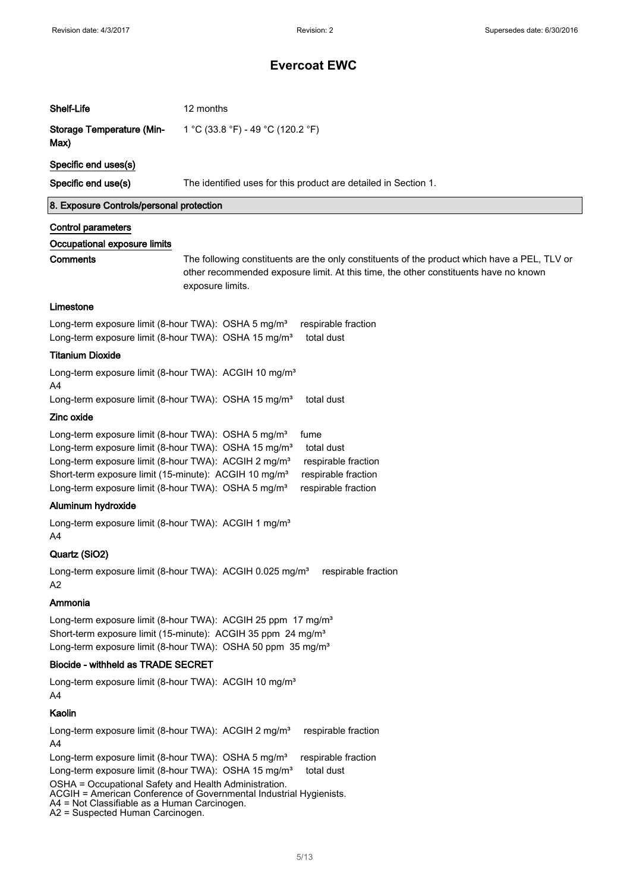| Shelf-Life                                                                                                                                                                                                                                                                                                                                                                                                                                 | 12 months                                                                                                                                                                                                |  |
|--------------------------------------------------------------------------------------------------------------------------------------------------------------------------------------------------------------------------------------------------------------------------------------------------------------------------------------------------------------------------------------------------------------------------------------------|----------------------------------------------------------------------------------------------------------------------------------------------------------------------------------------------------------|--|
| <b>Storage Temperature (Min-</b><br>Max)                                                                                                                                                                                                                                                                                                                                                                                                   | 1 °C (33.8 °F) - 49 °C (120.2 °F)                                                                                                                                                                        |  |
| Specific end uses(s)                                                                                                                                                                                                                                                                                                                                                                                                                       |                                                                                                                                                                                                          |  |
| Specific end use(s)                                                                                                                                                                                                                                                                                                                                                                                                                        | The identified uses for this product are detailed in Section 1.                                                                                                                                          |  |
| 8. Exposure Controls/personal protection                                                                                                                                                                                                                                                                                                                                                                                                   |                                                                                                                                                                                                          |  |
| <b>Control parameters</b>                                                                                                                                                                                                                                                                                                                                                                                                                  |                                                                                                                                                                                                          |  |
| Occupational exposure limits                                                                                                                                                                                                                                                                                                                                                                                                               |                                                                                                                                                                                                          |  |
| <b>Comments</b>                                                                                                                                                                                                                                                                                                                                                                                                                            | The following constituents are the only constituents of the product which have a PEL, TLV or<br>other recommended exposure limit. At this time, the other constituents have no known<br>exposure limits. |  |
| Limestone                                                                                                                                                                                                                                                                                                                                                                                                                                  |                                                                                                                                                                                                          |  |
| Long-term exposure limit (8-hour TWA): OSHA 5 mg/m <sup>3</sup><br>Long-term exposure limit (8-hour TWA): OSHA 15 mg/m <sup>3</sup>                                                                                                                                                                                                                                                                                                        | respirable fraction<br>total dust                                                                                                                                                                        |  |
| <b>Titanium Dioxide</b>                                                                                                                                                                                                                                                                                                                                                                                                                    |                                                                                                                                                                                                          |  |
| Long-term exposure limit (8-hour TWA): ACGIH 10 mg/m <sup>3</sup><br>A <sub>4</sub><br>Long-term exposure limit (8-hour TWA): OSHA 15 mg/m <sup>3</sup>                                                                                                                                                                                                                                                                                    | total dust                                                                                                                                                                                               |  |
| Zinc oxide                                                                                                                                                                                                                                                                                                                                                                                                                                 |                                                                                                                                                                                                          |  |
| Long-term exposure limit (8-hour TWA): OSHA 5 mg/m <sup>3</sup><br>fume<br>Long-term exposure limit (8-hour TWA): OSHA 15 mg/m <sup>3</sup><br>total dust<br>Long-term exposure limit (8-hour TWA): ACGIH 2 mg/m <sup>3</sup><br>respirable fraction<br>Short-term exposure limit (15-minute): ACGIH 10 mg/m <sup>3</sup><br>respirable fraction<br>Long-term exposure limit (8-hour TWA): OSHA 5 mg/m <sup>3</sup><br>respirable fraction |                                                                                                                                                                                                          |  |
| Aluminum hydroxide                                                                                                                                                                                                                                                                                                                                                                                                                         |                                                                                                                                                                                                          |  |
| Long-term exposure limit (8-hour TWA): ACGIH 1 mg/m <sup>3</sup><br>A4                                                                                                                                                                                                                                                                                                                                                                     |                                                                                                                                                                                                          |  |
| Quartz (SiO2)                                                                                                                                                                                                                                                                                                                                                                                                                              |                                                                                                                                                                                                          |  |
| Long-term exposure limit (8-hour TWA): ACGIH 0.025 mg/m <sup>3</sup><br>respirable fraction<br>A2                                                                                                                                                                                                                                                                                                                                          |                                                                                                                                                                                                          |  |
| Ammonia                                                                                                                                                                                                                                                                                                                                                                                                                                    |                                                                                                                                                                                                          |  |
| Long-term exposure limit (8-hour TWA): ACGIH 25 ppm 17 mg/m <sup>3</sup><br>Short-term exposure limit (15-minute): ACGIH 35 ppm 24 mg/m <sup>3</sup><br>Long-term exposure limit (8-hour TWA): OSHA 50 ppm 35 mg/m <sup>3</sup>                                                                                                                                                                                                            |                                                                                                                                                                                                          |  |
| Biocide - withheld as TRADE SECRET                                                                                                                                                                                                                                                                                                                                                                                                         |                                                                                                                                                                                                          |  |
| Long-term exposure limit (8-hour TWA): ACGIH 10 mg/m <sup>3</sup><br>A4                                                                                                                                                                                                                                                                                                                                                                    |                                                                                                                                                                                                          |  |
| Kaolin                                                                                                                                                                                                                                                                                                                                                                                                                                     |                                                                                                                                                                                                          |  |
| Long-term exposure limit (8-hour TWA): ACGIH 2 mg/m <sup>3</sup><br>A <sub>4</sub>                                                                                                                                                                                                                                                                                                                                                         | respirable fraction                                                                                                                                                                                      |  |
| Long-term exposure limit (8-hour TWA): OSHA 5 mg/m <sup>3</sup><br>Long-term exposure limit (8-hour TWA): OSHA 15 mg/m <sup>3</sup><br>OSHA = Occupational Safety and Health Administration.<br>A4 = Not Classifiable as a Human Carcinogen.<br>A2 = Suspected Human Carcinogen.                                                                                                                                                           | respirable fraction<br>total dust<br>ACGIH = American Conference of Governmental Industrial Hygienists.                                                                                                  |  |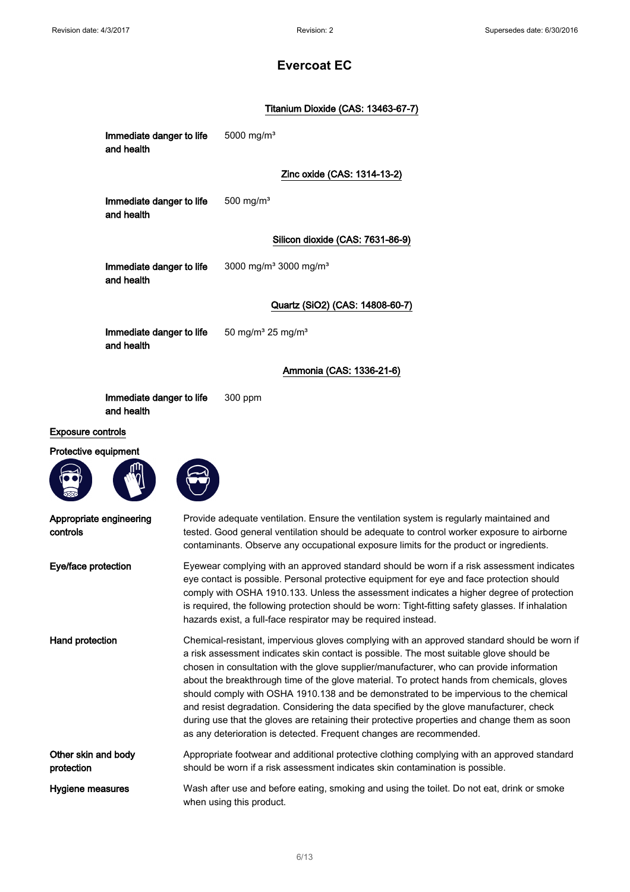### Titanium Dioxide (CAS: 13463-67-7)

|                                     | Immediate danger to life<br>and health | 5000 mg/m <sup>3</sup>                                                                                                                                                                                                                                                                                                                                                                                                                                                                                                                                                                                                                                                                                                                      |
|-------------------------------------|----------------------------------------|---------------------------------------------------------------------------------------------------------------------------------------------------------------------------------------------------------------------------------------------------------------------------------------------------------------------------------------------------------------------------------------------------------------------------------------------------------------------------------------------------------------------------------------------------------------------------------------------------------------------------------------------------------------------------------------------------------------------------------------------|
|                                     |                                        | Zinc oxide (CAS: 1314-13-2)                                                                                                                                                                                                                                                                                                                                                                                                                                                                                                                                                                                                                                                                                                                 |
|                                     | Immediate danger to life<br>and health | 500 mg/ $m3$                                                                                                                                                                                                                                                                                                                                                                                                                                                                                                                                                                                                                                                                                                                                |
|                                     |                                        | Silicon dioxide (CAS: 7631-86-9)                                                                                                                                                                                                                                                                                                                                                                                                                                                                                                                                                                                                                                                                                                            |
|                                     | Immediate danger to life<br>and health | 3000 mg/m <sup>3</sup> 3000 mg/m <sup>3</sup>                                                                                                                                                                                                                                                                                                                                                                                                                                                                                                                                                                                                                                                                                               |
|                                     |                                        | Quartz (SiO2) (CAS: 14808-60-7)                                                                                                                                                                                                                                                                                                                                                                                                                                                                                                                                                                                                                                                                                                             |
|                                     | Immediate danger to life<br>and health | 50 mg/m <sup>3</sup> 25 mg/m <sup>3</sup>                                                                                                                                                                                                                                                                                                                                                                                                                                                                                                                                                                                                                                                                                                   |
|                                     |                                        | Ammonia (CAS: 1336-21-6)                                                                                                                                                                                                                                                                                                                                                                                                                                                                                                                                                                                                                                                                                                                    |
|                                     | Immediate danger to life<br>and health | 300 ppm                                                                                                                                                                                                                                                                                                                                                                                                                                                                                                                                                                                                                                                                                                                                     |
| Exposure controls                   |                                        |                                                                                                                                                                                                                                                                                                                                                                                                                                                                                                                                                                                                                                                                                                                                             |
| Protective equipment                |                                        |                                                                                                                                                                                                                                                                                                                                                                                                                                                                                                                                                                                                                                                                                                                                             |
| Appropriate engineering<br>controls |                                        | Provide adequate ventilation. Ensure the ventilation system is regularly maintained and<br>tested. Good general ventilation should be adequate to control worker exposure to airborne<br>contaminants. Observe any occupational exposure limits for the product or ingredients.                                                                                                                                                                                                                                                                                                                                                                                                                                                             |
| Eye/face protection                 |                                        | Eyewear complying with an approved standard should be worn if a risk assessment indicates<br>eye contact is possible. Personal protective equipment for eye and face protection should<br>comply with OSHA 1910.133. Unless the assessment indicates a higher degree of protection<br>is required, the following protection should be worn: Tight-fitting safety glasses. If inhalation<br>hazards exist, a full-face respirator may be required instead.                                                                                                                                                                                                                                                                                   |
| <b>Hand protection</b>              |                                        | Chemical-resistant, impervious gloves complying with an approved standard should be worn if<br>a risk assessment indicates skin contact is possible. The most suitable glove should be<br>chosen in consultation with the glove supplier/manufacturer, who can provide information<br>about the breakthrough time of the glove material. To protect hands from chemicals, gloves<br>should comply with OSHA 1910.138 and be demonstrated to be impervious to the chemical<br>and resist degradation. Considering the data specified by the glove manufacturer, check<br>during use that the gloves are retaining their protective properties and change them as soon<br>as any deterioration is detected. Frequent changes are recommended. |
| Other skin and body<br>protection   |                                        | Appropriate footwear and additional protective clothing complying with an approved standard<br>should be worn if a risk assessment indicates skin contamination is possible.                                                                                                                                                                                                                                                                                                                                                                                                                                                                                                                                                                |
| Hygiene measures                    |                                        | Wash after use and before eating, smoking and using the toilet. Do not eat, drink or smoke<br>when using this product.                                                                                                                                                                                                                                                                                                                                                                                                                                                                                                                                                                                                                      |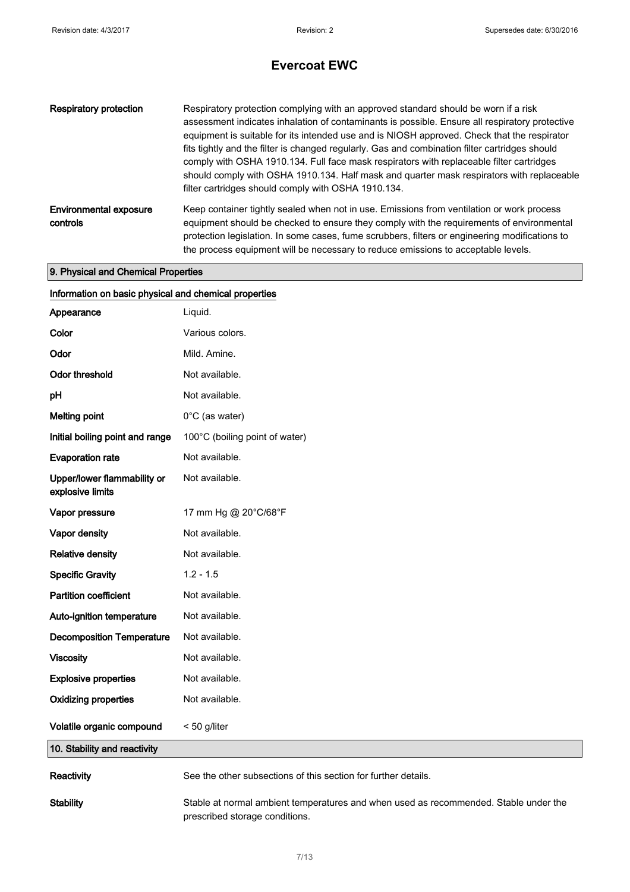| <b>Respiratory protection</b>             | Respiratory protection complying with an approved standard should be worn if a risk<br>assessment indicates inhalation of contaminants is possible. Ensure all respiratory protective<br>equipment is suitable for its intended use and is NIOSH approved. Check that the respirator<br>fits tightly and the filter is changed regularly. Gas and combination filter cartridges should<br>comply with OSHA 1910.134. Full face mask respirators with replaceable filter cartridges<br>should comply with OSHA 1910.134. Half mask and quarter mask respirators with replaceable<br>filter cartridges should comply with OSHA 1910.134. |
|-------------------------------------------|----------------------------------------------------------------------------------------------------------------------------------------------------------------------------------------------------------------------------------------------------------------------------------------------------------------------------------------------------------------------------------------------------------------------------------------------------------------------------------------------------------------------------------------------------------------------------------------------------------------------------------------|
| <b>Environmental exposure</b><br>controls | Keep container tightly sealed when not in use. Emissions from ventilation or work process<br>equipment should be checked to ensure they comply with the requirements of environmental<br>protection legislation. In some cases, fume scrubbers, filters or engineering modifications to<br>the process equipment will be necessary to reduce emissions to acceptable levels.                                                                                                                                                                                                                                                           |

### 9. Physical and Chemical Properties

| Information on basic physical and chemical properties |                                                                                                                        |  |
|-------------------------------------------------------|------------------------------------------------------------------------------------------------------------------------|--|
| Appearance                                            | Liquid.                                                                                                                |  |
| Color                                                 | Various colors.                                                                                                        |  |
| Odor                                                  | Mild. Amine.                                                                                                           |  |
| Odor threshold                                        | Not available.                                                                                                         |  |
| pH                                                    | Not available.                                                                                                         |  |
| <b>Melting point</b>                                  | 0°C (as water)                                                                                                         |  |
| Initial boiling point and range                       | 100°C (boiling point of water)                                                                                         |  |
| <b>Evaporation rate</b>                               | Not available.                                                                                                         |  |
| Upper/lower flammability or<br>explosive limits       | Not available.                                                                                                         |  |
| Vapor pressure                                        | 17 mm Hg @ 20°C/68°F                                                                                                   |  |
| Vapor density                                         | Not available.                                                                                                         |  |
| <b>Relative density</b>                               | Not available.                                                                                                         |  |
| <b>Specific Gravity</b>                               | $1.2 - 1.5$                                                                                                            |  |
| <b>Partition coefficient</b>                          | Not available.                                                                                                         |  |
| Auto-ignition temperature                             | Not available.                                                                                                         |  |
| <b>Decomposition Temperature</b>                      | Not available.                                                                                                         |  |
| <b>Viscosity</b>                                      | Not available.                                                                                                         |  |
| <b>Explosive properties</b>                           | Not available.                                                                                                         |  |
| <b>Oxidizing properties</b>                           | Not available.                                                                                                         |  |
| Volatile organic compound                             | < 50 g/liter                                                                                                           |  |
| 10. Stability and reactivity                          |                                                                                                                        |  |
| Reactivity                                            | See the other subsections of this section for further details.                                                         |  |
| <b>Stability</b>                                      | Stable at normal ambient temperatures and when used as recommended. Stable under the<br>prescribed storage conditions. |  |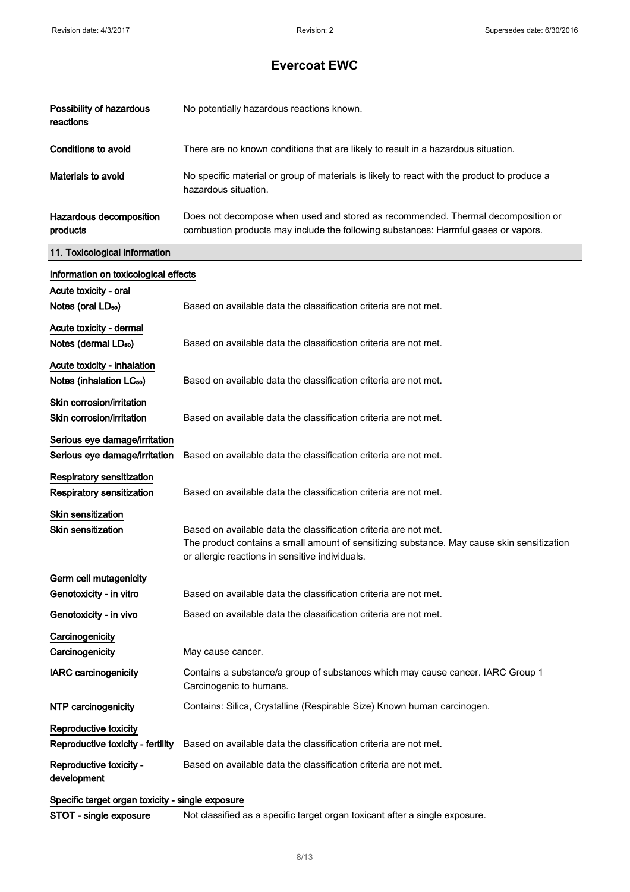| Possibility of hazardous<br>reactions                               | No potentially hazardous reactions known.                                                                                                                                                                         |
|---------------------------------------------------------------------|-------------------------------------------------------------------------------------------------------------------------------------------------------------------------------------------------------------------|
| Conditions to avoid                                                 | There are no known conditions that are likely to result in a hazardous situation.                                                                                                                                 |
| Materials to avoid                                                  | No specific material or group of materials is likely to react with the product to produce a<br>hazardous situation.                                                                                               |
| Hazardous decomposition<br>products                                 | Does not decompose when used and stored as recommended. Thermal decomposition or<br>combustion products may include the following substances: Harmful gases or vapors.                                            |
| 11. Toxicological information                                       |                                                                                                                                                                                                                   |
| Information on toxicological effects                                |                                                                                                                                                                                                                   |
| Acute toxicity - oral<br>Notes (oral LD <sub>50</sub> )             | Based on available data the classification criteria are not met.                                                                                                                                                  |
| Acute toxicity - dermal<br>Notes (dermal LD <sub>50</sub> )         | Based on available data the classification criteria are not met.                                                                                                                                                  |
| Acute toxicity - inhalation<br>Notes (inhalation LC <sub>50</sub> ) | Based on available data the classification criteria are not met.                                                                                                                                                  |
| Skin corrosion/irritation<br>Skin corrosion/irritation              | Based on available data the classification criteria are not met.                                                                                                                                                  |
| Serious eye damage/irritation<br>Serious eye damage/irritation      | Based on available data the classification criteria are not met.                                                                                                                                                  |
| Respiratory sensitization<br><b>Respiratory sensitization</b>       | Based on available data the classification criteria are not met.                                                                                                                                                  |
| <b>Skin sensitization</b><br><b>Skin sensitization</b>              | Based on available data the classification criteria are not met.<br>The product contains a small amount of sensitizing substance. May cause skin sensitization<br>or allergic reactions in sensitive individuals. |
| Germ cell mutagenicity<br>Genotoxicity - in vitro                   | Based on available data the classification criteria are not met.                                                                                                                                                  |
| Genotoxicity - in vivo                                              | Based on available data the classification criteria are not met.                                                                                                                                                  |
| Carcinogenicity<br>Carcinogenicity                                  | May cause cancer.                                                                                                                                                                                                 |
| <b>IARC carcinogenicity</b>                                         | Contains a substance/a group of substances which may cause cancer. IARC Group 1<br>Carcinogenic to humans.                                                                                                        |
| NTP carcinogenicity                                                 | Contains: Silica, Crystalline (Respirable Size) Known human carcinogen.                                                                                                                                           |
| Reproductive toxicity<br>Reproductive toxicity - fertility          | Based on available data the classification criteria are not met.                                                                                                                                                  |
| Reproductive toxicity -<br>development                              | Based on available data the classification criteria are not met.                                                                                                                                                  |
| Specific target organ toxicity - single exposure                    |                                                                                                                                                                                                                   |

STOT - single exposure Not classified as a specific target organ toxicant after a single exposure.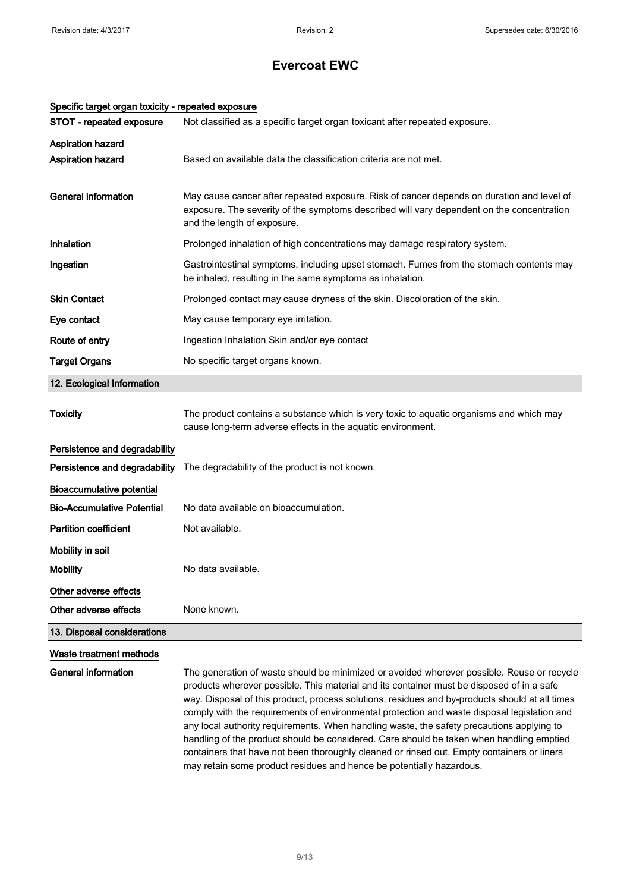| Specific target organ toxicity - repeated exposure |                                                                                                                                                                                                                                                                                                                                                                                                                                                                                                                                                                                                                                                                                                                                                         |
|----------------------------------------------------|---------------------------------------------------------------------------------------------------------------------------------------------------------------------------------------------------------------------------------------------------------------------------------------------------------------------------------------------------------------------------------------------------------------------------------------------------------------------------------------------------------------------------------------------------------------------------------------------------------------------------------------------------------------------------------------------------------------------------------------------------------|
| STOT - repeated exposure                           | Not classified as a specific target organ toxicant after repeated exposure.                                                                                                                                                                                                                                                                                                                                                                                                                                                                                                                                                                                                                                                                             |
| <b>Aspiration hazard</b><br>Aspiration hazard      | Based on available data the classification criteria are not met.                                                                                                                                                                                                                                                                                                                                                                                                                                                                                                                                                                                                                                                                                        |
| <b>General information</b>                         | May cause cancer after repeated exposure. Risk of cancer depends on duration and level of<br>exposure. The severity of the symptoms described will vary dependent on the concentration<br>and the length of exposure.                                                                                                                                                                                                                                                                                                                                                                                                                                                                                                                                   |
| Inhalation                                         | Prolonged inhalation of high concentrations may damage respiratory system.                                                                                                                                                                                                                                                                                                                                                                                                                                                                                                                                                                                                                                                                              |
| Ingestion                                          | Gastrointestinal symptoms, including upset stomach. Fumes from the stomach contents may<br>be inhaled, resulting in the same symptoms as inhalation.                                                                                                                                                                                                                                                                                                                                                                                                                                                                                                                                                                                                    |
| <b>Skin Contact</b>                                | Prolonged contact may cause dryness of the skin. Discoloration of the skin.                                                                                                                                                                                                                                                                                                                                                                                                                                                                                                                                                                                                                                                                             |
| Eye contact                                        | May cause temporary eye irritation.                                                                                                                                                                                                                                                                                                                                                                                                                                                                                                                                                                                                                                                                                                                     |
| Route of entry                                     | Ingestion Inhalation Skin and/or eye contact                                                                                                                                                                                                                                                                                                                                                                                                                                                                                                                                                                                                                                                                                                            |
| <b>Target Organs</b>                               | No specific target organs known.                                                                                                                                                                                                                                                                                                                                                                                                                                                                                                                                                                                                                                                                                                                        |
| 12. Ecological Information                         |                                                                                                                                                                                                                                                                                                                                                                                                                                                                                                                                                                                                                                                                                                                                                         |
| <b>Toxicity</b>                                    | The product contains a substance which is very toxic to aquatic organisms and which may<br>cause long-term adverse effects in the aquatic environment.                                                                                                                                                                                                                                                                                                                                                                                                                                                                                                                                                                                                  |
| Persistence and degradability                      |                                                                                                                                                                                                                                                                                                                                                                                                                                                                                                                                                                                                                                                                                                                                                         |
| Persistence and degradability                      | The degradability of the product is not known.                                                                                                                                                                                                                                                                                                                                                                                                                                                                                                                                                                                                                                                                                                          |
| <b>Bioaccumulative potential</b>                   |                                                                                                                                                                                                                                                                                                                                                                                                                                                                                                                                                                                                                                                                                                                                                         |
| <b>Bio-Accumulative Potential</b>                  | No data available on bioaccumulation.                                                                                                                                                                                                                                                                                                                                                                                                                                                                                                                                                                                                                                                                                                                   |
| <b>Partition coefficient</b>                       | Not available.                                                                                                                                                                                                                                                                                                                                                                                                                                                                                                                                                                                                                                                                                                                                          |
| Mobility in soil                                   |                                                                                                                                                                                                                                                                                                                                                                                                                                                                                                                                                                                                                                                                                                                                                         |
| <b>Mobility</b>                                    | No data available.                                                                                                                                                                                                                                                                                                                                                                                                                                                                                                                                                                                                                                                                                                                                      |
| Other adverse effects<br>Other adverse effects     | None known.                                                                                                                                                                                                                                                                                                                                                                                                                                                                                                                                                                                                                                                                                                                                             |
| 13. Disposal considerations                        |                                                                                                                                                                                                                                                                                                                                                                                                                                                                                                                                                                                                                                                                                                                                                         |
| Waste treatment methods                            |                                                                                                                                                                                                                                                                                                                                                                                                                                                                                                                                                                                                                                                                                                                                                         |
| General information                                | The generation of waste should be minimized or avoided wherever possible. Reuse or recycle<br>products wherever possible. This material and its container must be disposed of in a safe<br>way. Disposal of this product, process solutions, residues and by-products should at all times<br>comply with the requirements of environmental protection and waste disposal legislation and<br>any local authority requirements. When handling waste, the safety precautions applying to<br>handling of the product should be considered. Care should be taken when handling emptied<br>containers that have not been thoroughly cleaned or rinsed out. Empty containers or liners<br>may retain some product residues and hence be potentially hazardous. |

#### 9/ 13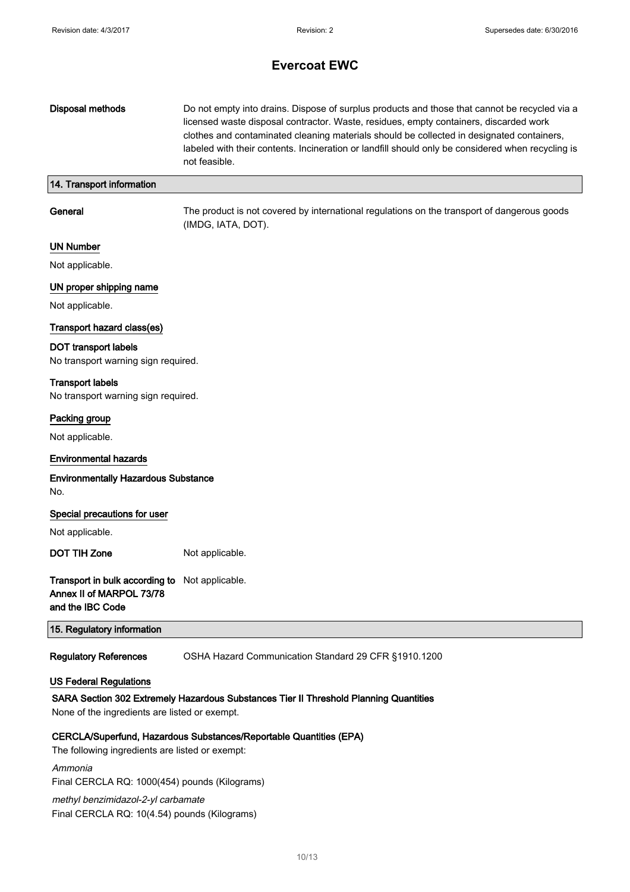| <b>Disposal methods</b>                                                                                                                | Do not empty into drains. Dispose of surplus products and those that cannot be recycled via a<br>licensed waste disposal contractor. Waste, residues, empty containers, discarded work<br>clothes and contaminated cleaning materials should be collected in designated containers,<br>labeled with their contents. Incineration or landfill should only be considered when recycling is<br>not feasible. |
|----------------------------------------------------------------------------------------------------------------------------------------|-----------------------------------------------------------------------------------------------------------------------------------------------------------------------------------------------------------------------------------------------------------------------------------------------------------------------------------------------------------------------------------------------------------|
| 14. Transport information                                                                                                              |                                                                                                                                                                                                                                                                                                                                                                                                           |
| General                                                                                                                                | The product is not covered by international regulations on the transport of dangerous goods<br>(IMDG, IATA, DOT).                                                                                                                                                                                                                                                                                         |
| <b>UN Number</b>                                                                                                                       |                                                                                                                                                                                                                                                                                                                                                                                                           |
| Not applicable.                                                                                                                        |                                                                                                                                                                                                                                                                                                                                                                                                           |
| UN proper shipping name                                                                                                                |                                                                                                                                                                                                                                                                                                                                                                                                           |
| Not applicable.                                                                                                                        |                                                                                                                                                                                                                                                                                                                                                                                                           |
| Transport hazard class(es)                                                                                                             |                                                                                                                                                                                                                                                                                                                                                                                                           |
| <b>DOT transport labels</b><br>No transport warning sign required.                                                                     |                                                                                                                                                                                                                                                                                                                                                                                                           |
| <b>Transport labels</b><br>No transport warning sign required.                                                                         |                                                                                                                                                                                                                                                                                                                                                                                                           |
| Packing group                                                                                                                          |                                                                                                                                                                                                                                                                                                                                                                                                           |
| Not applicable.                                                                                                                        |                                                                                                                                                                                                                                                                                                                                                                                                           |
| <b>Environmental hazards</b>                                                                                                           |                                                                                                                                                                                                                                                                                                                                                                                                           |
| <b>Environmentally Hazardous Substance</b><br>No.                                                                                      |                                                                                                                                                                                                                                                                                                                                                                                                           |
| Special precautions for user                                                                                                           |                                                                                                                                                                                                                                                                                                                                                                                                           |
| Not applicable.                                                                                                                        |                                                                                                                                                                                                                                                                                                                                                                                                           |
| <b>DOT TIH Zone</b>                                                                                                                    | Not applicable.                                                                                                                                                                                                                                                                                                                                                                                           |
| Transport in bulk according to Not applicable.<br>Annex II of MARPOL 73/78<br>and the IBC Code                                         |                                                                                                                                                                                                                                                                                                                                                                                                           |
| 15. Regulatory information                                                                                                             |                                                                                                                                                                                                                                                                                                                                                                                                           |
| <b>Regulatory References</b>                                                                                                           | OSHA Hazard Communication Standard 29 CFR §1910.1200                                                                                                                                                                                                                                                                                                                                                      |
| <b>US Federal Regulations</b>                                                                                                          |                                                                                                                                                                                                                                                                                                                                                                                                           |
| SARA Section 302 Extremely Hazardous Substances Tier II Threshold Planning Quantities<br>None of the ingredients are listed or exempt. |                                                                                                                                                                                                                                                                                                                                                                                                           |
| The following ingredients are listed or exempt:                                                                                        | CERCLA/Superfund, Hazardous Substances/Reportable Quantities (EPA)                                                                                                                                                                                                                                                                                                                                        |
| Ammonia<br>Final CERCLA RQ: 1000(454) pounds (Kilograms)                                                                               |                                                                                                                                                                                                                                                                                                                                                                                                           |

methyl benzimidazol-2-yl carbamate Final CERCLA RQ: 10(4.54) pounds (Kilograms)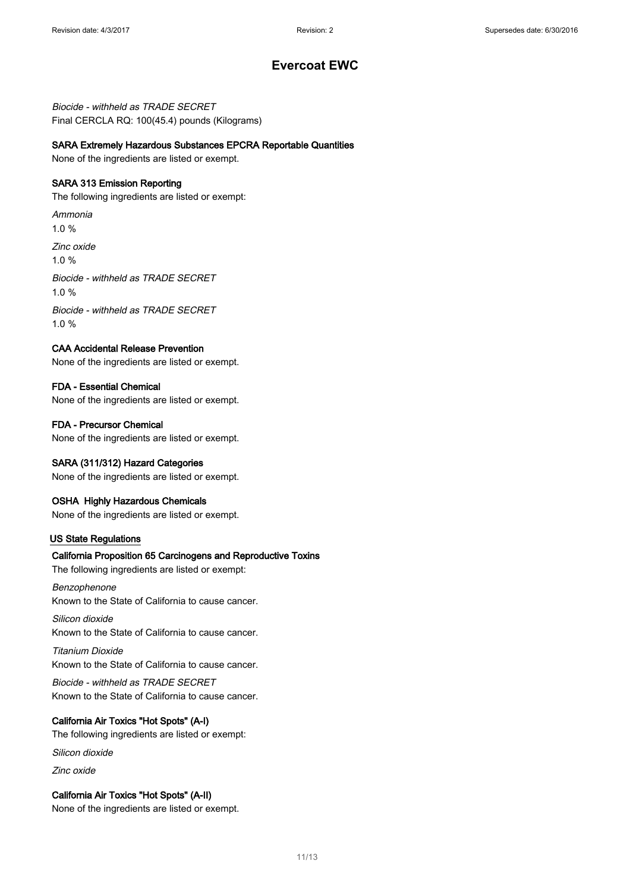Biocide - withheld as TRADE SECRET Final CERCLA RQ: 100(45.4) pounds (Kilograms)

#### SARA Extremely Hazardous Substances EPCRA Reportable Quantities

None of the ingredients are listed or exempt.

#### SARA 313 Emission Reporting

The following ingredients are listed or exempt:

Ammonia 1.0 % Zinc oxide 1.0 % Biocide - withheld as TRADE SECRET 1.0 %

Biocide - withheld as TRADE SECRET 1.0 %

### CAA Accidental Release Prevention

None of the ingredients are listed or exempt.

#### FDA - Essential Chemical

None of the ingredients are listed or exempt.

#### FDA - Precursor Chemical

None of the ingredients are listed or exempt.

#### SARA (311/312) Hazard Categories

None of the ingredients are listed or exempt.

#### OSHA Highly Hazardous Chemicals

None of the ingredients are listed or exempt.

#### US State Regulations

#### California Proposition 65 Carcinogens and Reproductive Toxins

The following ingredients are listed or exempt:

#### Benzophenone Known to the State of California to cause cancer.

Silicon dioxide Known to the State of California to cause cancer.

Titanium Dioxide Known to the State of California to cause cancer.

Biocide - withheld as TRADE SECRET Known to the State of California to cause cancer.

### California Air Toxics "Hot Spots" (A-I)

The following ingredients are listed or exempt:

Silicon dioxide

Zinc oxide

### California Air Toxics "Hot Spots" (A-II)

None of the ingredients are listed or exempt.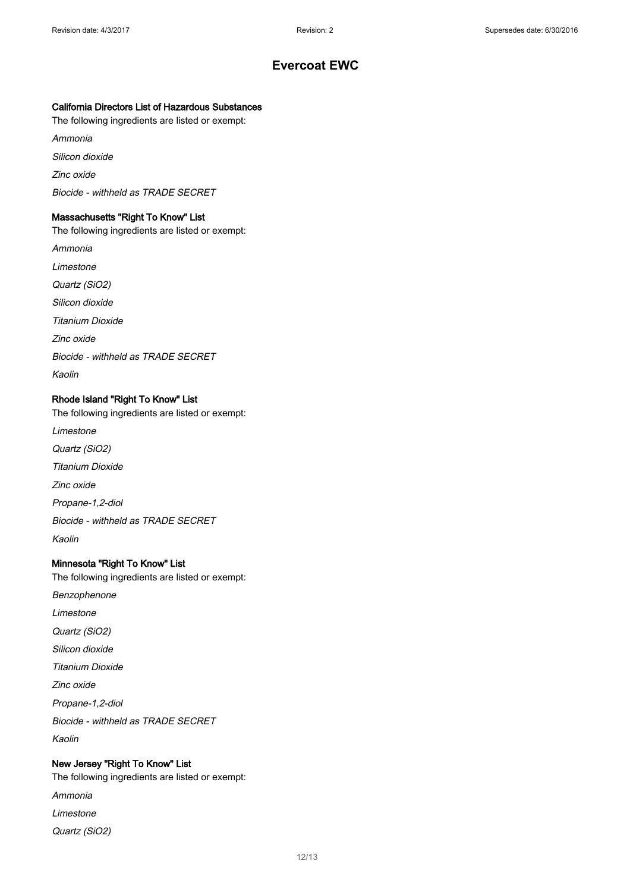### California Directors List of Hazardous Substances

The following ingredients are listed or exempt:

Ammonia

Silicon dioxide

Zinc oxide

Biocide - withheld as TRADE SECRET

### Massachusetts "Right To Know" List

The following ingredients are listed or exempt: Ammonia Limestone Quartz (SiO2) Silicon dioxide Titanium Dioxide Zinc oxide Biocide - withheld as TRADE SECRET Kaolin

### Rhode Island "Right To Know" List

The following ingredients are listed or exempt: Limestone Quartz (SiO2) Titanium Dioxide

Zinc oxide

Propane-1,2-diol

Biocide - withheld as TRADE SECRET

Kaolin

### Minnesota "Right To Know" List

The following ingredients are listed or exempt:

Benzophenone Limestone Quartz (SiO2) Silicon dioxide Titanium Dioxide Zinc oxide Propane-1,2-diol Biocide - withheld as TRADE SECRET Kaolin

### New Jersey "Right To Know" List

The following ingredients are listed or exempt:

- Ammonia
- Limestone
- Quartz (SiO2)